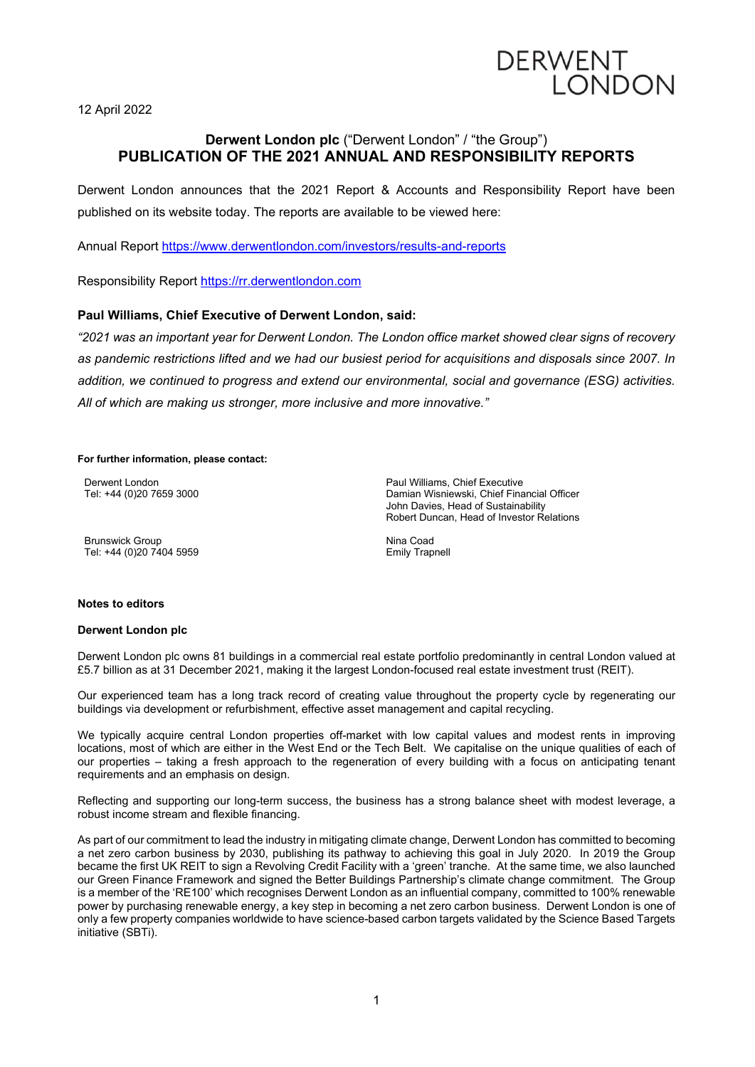# **DERWENT** LONDON

12 April 2022

## **Derwent London plc** ("Derwent London" / "the Group") **PUBLICATION OF THE 2021 ANNUAL AND RESPONSIBILITY REPORTS**

Derwent London announces that the 2021 Report & Accounts and Responsibility Report have been published on its website today. The reports are available to be viewed here:

Annual Report<https://www.derwentlondon.com/investors/results-and-reports>

Responsibility Report [https://rr.derwentlondon.com](https://rr/derwentlondon.com)

### **Paul Williams, Chief Executive of Derwent London, said:**

*"2021 was an important year for Derwent London. The London office market showed clear signs of recovery as pandemic restrictions lifted and we had our busiest period for acquisitions and disposals since 2007. In addition, we continued to progress and extend our environmental, social and governance (ESG) activities. All of which are making us stronger, more inclusive and more innovative."*

#### **For further information, please contact:**

Derwent London Tel: +44 (0)20 7659 3000

Brunswick Group Tel: +44 (0)20 7404 5959 Paul Williams, Chief Executive Damian Wisniewski, Chief Financial Officer John Davies, Head of Sustainability Robert Duncan, Head of Investor Relations

Nina Coad Emily Trapnell

#### **Notes to editors**

#### **Derwent London plc**

Derwent London plc owns 81 buildings in a commercial real estate portfolio predominantly in central London valued at £5.7 billion as at 31 December 2021, making it the largest London-focused real estate investment trust (REIT).

Our experienced team has a long track record of creating value throughout the property cycle by regenerating our buildings via development or refurbishment, effective asset management and capital recycling.

We typically acquire central London properties off-market with low capital values and modest rents in improving locations, most of which are either in the West End or the Tech Belt. We capitalise on the unique qualities of each of our properties – taking a fresh approach to the regeneration of every building with a focus on anticipating tenant requirements and an emphasis on design.

Reflecting and supporting our long-term success, the business has a strong balance sheet with modest leverage, a robust income stream and flexible financing.

As part of our commitment to lead the industry in mitigating climate change, Derwent London has committed to becoming a net zero carbon business by 2030, publishing its pathway to achieving this goal in July 2020. In 2019 the Group became the first UK REIT to sign a Revolving Credit Facility with a 'green' tranche. At the same time, we also launched our Green Finance Framework and signed the Better Buildings Partnership's climate change commitment. The Group is a member of the 'RE100' which recognises Derwent London as an influential company, committed to 100% renewable power by purchasing renewable energy, a key step in becoming a net zero carbon business. Derwent London is one of only a few property companies worldwide to have science-based carbon targets validated by the Science Based Targets initiative (SBTi).